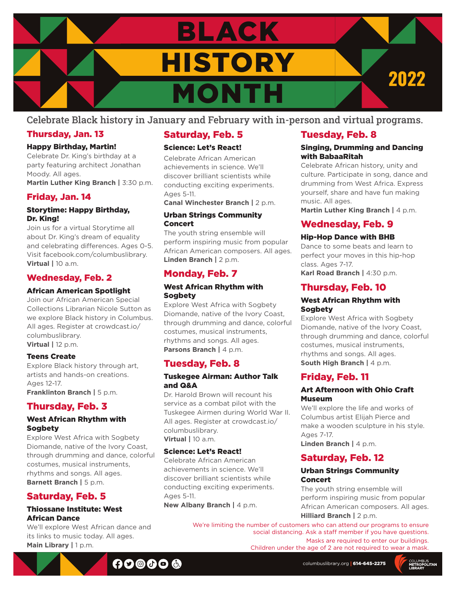

### Celebrate Black history in January and February with in-person and virtual programs.

### Thursday, Jan. 13

#### Happy Birthday, Martin!

Celebrate Dr. King's birthday at a party featuring architect Jonathan Moody. All ages. **Martin Luther King Branch |** 3:30 p.m.

### Friday, Jan. 14

#### Storytime: Happy Birthday, Dr. King!

Join us for a virtual Storytime all about Dr. King's dream of equality and celebrating differences. Ages 0-5. Visit facebook.com/columbuslibrary. **Virtual |** 10 a.m.

### Wednesday, Feb. 2

### African American Spotlight

Join our African American Special Collections Librarian Nicole Sutton as we explore Black history in Columbus. All ages. Register at crowdcast.io/ columbuslibrary. **Virtual |** 12 p.m.

#### Teens Create

Explore Black history through art, artists and hands-on creations. Ages 12-17. **Franklinton Branch | 5 p.m.** 

### Thursday, Feb. 3

#### West African Rhythm with Sogbety

Explore West Africa with Sogbety Diomande, native of the Ivory Coast, through drumming and dance, colorful costumes, musical instruments, rhythms and songs. All ages. **Barnett Branch | 5 p.m.** 

### Saturday, Feb. 5

#### Thiossane Institute: West African Dance

We'll explore West African dance and its links to music today. All ages. **Main Library |** 1 p.m.

### Saturday, Feb. 5

### Science: Let's React!

Celebrate African American achievements in science. We'll discover brilliant scientists while conducting exciting experiments. Ages 5-11.

**Canal Winchester Branch |** 2 p.m.

#### Urban Strings Community Concert

The youth string ensemble will perform inspiring music from popular African American composers. All ages. **Linden Branch |** 2 p.m.

### Monday, Feb. 7

#### West African Rhythm with **Sogbety**

Explore West Africa with Sogbety Diomande, native of the Ivory Coast, through drumming and dance, colorful costumes, musical instruments, rhythms and songs. All ages. **Parsons Branch | 4 p.m.** 

### Tuesday, Feb. 8

#### Tuskegee Airman: Author Talk and Q&A

Dr. Harold Brown will recount his service as a combat pilot with the Tuskegee Airmen during World War II. All ages. Register at crowdcast.io/ columbuslibrary. **Virtual |** 10 a.m.

#### Science: Let's React!

Celebrate African American achievements in science. We'll discover brilliant scientists while conducting exciting experiments. Ages 5-11.

**New Albany Branch | 4 p.m.** 

### Tuesday, Feb. 8

#### Singing, Drumming and Dancing with BabaaRitah

Celebrate African history, unity and culture. Participate in song, dance and drumming from West Africa. Express yourself, share and have fun making music. All ages.

**Martin Luther King Branch | 4 p.m.** 

### Wednesday, Feb. 9

#### Hip-Hop Dance with BHB

Dance to some beats and learn to perfect your moves in this hip-hop class. Ages 7-17. **Karl Road Branch |** 4:30 p.m.

### Thursday, Feb. 10

#### West African Rhythm with Sogbety

Explore West Africa with Sogbety Diomande, native of the Ivory Coast, through drumming and dance, colorful costumes, musical instruments, rhythms and songs. All ages. **South High Branch |** 4 p.m.

### Friday, Feb. 11

### Art Afternoon with Ohio Craft Museum

We'll explore the life and works of Columbus artist Elijah Pierce and make a wooden sculpture in his style. Ages 7-17. **Linden Branch |** 4 p.m.

### Saturday, Feb. 12

#### Urban Strings Community Concert

The youth string ensemble will perform inspiring music from popular African American composers. All ages. **Hilliard Branch |** 2 p.m.

We're limiting the number of customers who can attend our programs to ensure social distancing. Ask a staff member if you have questions. Masks are required to enter our buildings.

Children under the age of 2 are not required to wear a mask.